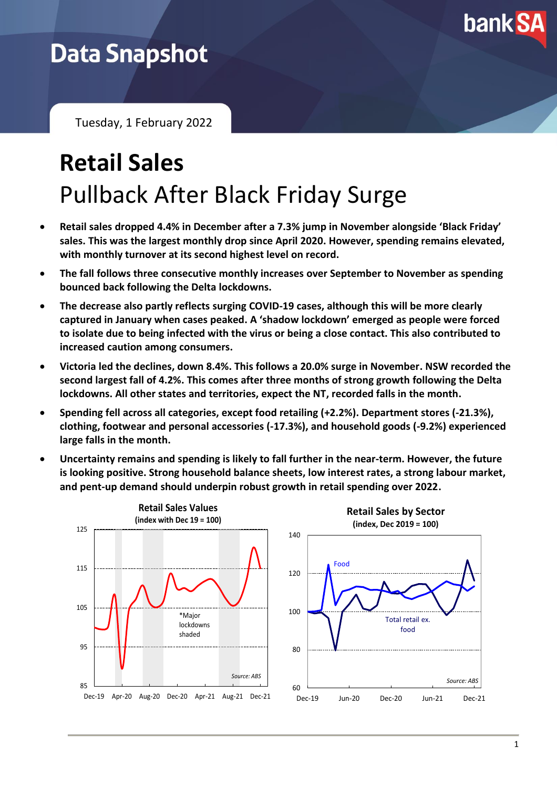

## **Data Snapshot**

Tuesday, 1 February 2022

# **Retail Sales** Pullback After Black Friday Surge

- **Retail sales dropped 4.4% in December after a 7.3% jump in November alongside 'Black Friday' sales. This was the largest monthly drop since April 2020. However, spending remains elevated, with monthly turnover at its second highest level on record.**
- **The fall follows three consecutive monthly increases over September to November as spending bounced back following the Delta lockdowns.**
- **The decrease also partly reflects surging COVID-19 cases, although this will be more clearly captured in January when cases peaked. A 'shadow lockdown' emerged as people were forced to isolate due to being infected with the virus or being a close contact. This also contributed to increased caution among consumers.**
- **Victoria led the declines, down 8.4%. This follows a 20.0% surge in November. NSW recorded the second largest fall of 4.2%. This comes after three months of strong growth following the Delta lockdowns. All other states and territories, expect the NT, recorded falls in the month.**
- **Spending fell across all categories, except food retailing (+2.2%). Department stores (-21.3%), clothing, footwear and personal accessories (-17.3%), and household goods (-9.2%) experienced large falls in the month.**
- **Uncertainty remains and spending is likely to fall further in the near-term. However, the future is looking positive. Strong household balance sheets, low interest rates, a strong labour market, and pent-up demand should underpin robust growth in retail spending over 2022.**

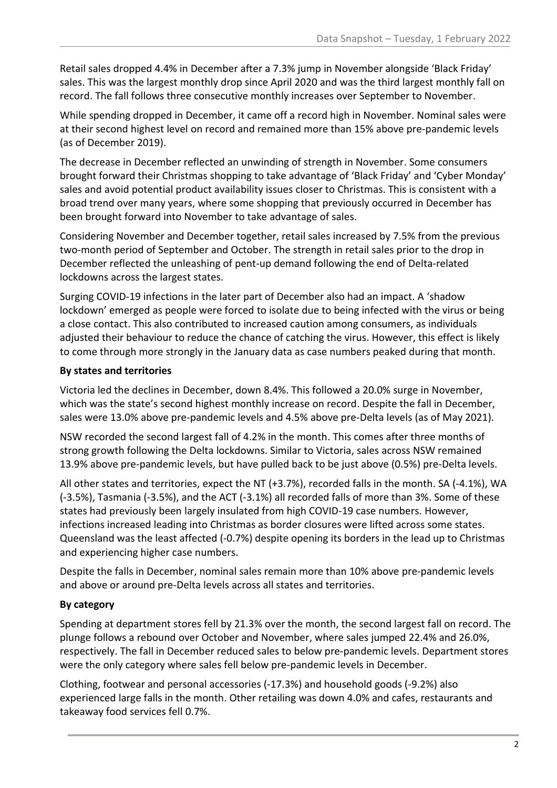Retail sales dropped 4.4% in December after a 7.3% jump in November alongside 'Black Friday' sales. This was the largest monthly drop since April 2020 and was the third largest monthly fall on record. The fall follows three consecutive monthly increases over September to November.

While spending dropped in December, it came off a record high in November. Nominal sales were at their second highest level on record and remained more than 15% above pre-pandemic levels (as of December 2019).

The decrease in December reflected an unwinding of strength in November. Some consumers brought forward their Christmas shopping to take advantage of 'Black Friday' and 'Cyber Monday' sales and avoid potential product availability issues closer to Christmas. This is consistent with a broad trend over many years, where some shopping that previously occurred in December has been brought forward into November to take advantage of sales.

Considering November and December together, retail sales increased by 7.5% from the previous two-month period of September and October. The strength in retail sales prior to the drop in December reflected the unleashing of pent-up demand following the end of Delta-related lockdowns across the largest states.

Surging COVID-19 infections in the later part of December also had an impact. A 'shadow lockdown' emerged as people were forced to isolate due to being infected with the virus or being a close contact. This also contributed to increased caution among consumers, as individuals adjusted their behaviour to reduce the chance of catching the virus. However, this effect is likely to come through more strongly in the January data as case numbers peaked during that month.

### **By states and territories**

Victoria led the declines in December, down 8.4%. This followed a 20.0% surge in November, which was the state's second highest monthly increase on record. Despite the fall in December, sales were 13.0% above pre-pandemic levels and 4.5% above pre-Delta levels (as of May 2021).

NSW recorded the second largest fall of 4.2% in the month. This comes after three months of strong growth following the Delta lockdowns. Similar to Victoria, sales across NSW remained 13.9% above pre-pandemic levels, but have pulled back to be just above (0.5%) pre-Delta levels.

All other states and territories, expect the NT (+3.7%), recorded falls in the month. SA (-4.1%), WA (-3.5%), Tasmania (-3.5%), and the ACT (-3.1%) all recorded falls of more than 3%. Some of these states had previously been largely insulated from high COVID-19 case numbers. However, infections increased leading into Christmas as border closures were lifted across some states. Queensland was the least affected (-0.7%) despite opening its borders in the lead up to Christmas and experiencing higher case numbers.

Despite the falls in December, nominal sales remain more than 10% above pre-pandemic levels and above or around pre-Delta levels across all states and territories.

### **By category**

Spending at department stores fell by 21.3% over the month, the second largest fall on record. The plunge follows a rebound over October and November, where sales jumped 22.4% and 26.0%, respectively. The fall in December reduced sales to below pre-pandemic levels. Department stores were the only category where sales fell below pre-pandemic levels in December.

Clothing, footwear and personal accessories (-17.3%) and household goods (-9.2%) also experienced large falls in the month. Other retailing was down 4.0% and cafes, restaurants and takeaway food services fell 0.7%.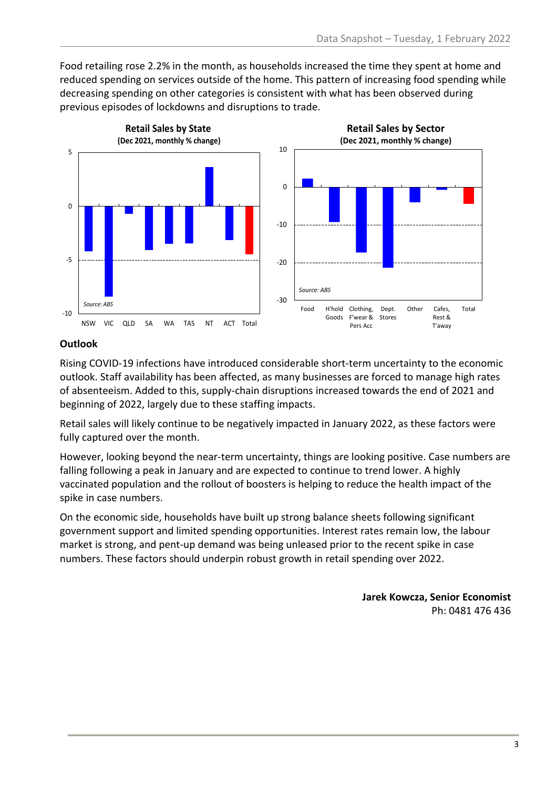Food retailing rose 2.2% in the month, as households increased the time they spent at home and reduced spending on services outside of the home. This pattern of increasing food spending while decreasing spending on other categories is consistent with what has been observed during previous episodes of lockdowns and disruptions to trade.



#### **Outlook**

Rising COVID-19 infections have introduced considerable short-term uncertainty to the economic outlook. Staff availability has been affected, as many businesses are forced to manage high rates of absenteeism. Added to this, supply-chain disruptions increased towards the end of 2021 and beginning of 2022, largely due to these staffing impacts.

Retail sales will likely continue to be negatively impacted in January 2022, as these factors were fully captured over the month.

However, looking beyond the near-term uncertainty, things are looking positive. Case numbers are falling following a peak in January and are expected to continue to trend lower. A highly vaccinated population and the rollout of boosters is helping to reduce the health impact of the spike in case numbers.

On the economic side, households have built up strong balance sheets following significant government support and limited spending opportunities. Interest rates remain low, the labour market is strong, and pent-up demand was being unleased prior to the recent spike in case numbers. These factors should underpin robust growth in retail spending over 2022.

> **Jarek Kowcza, Senior Economist** Ph: 0481 476 436